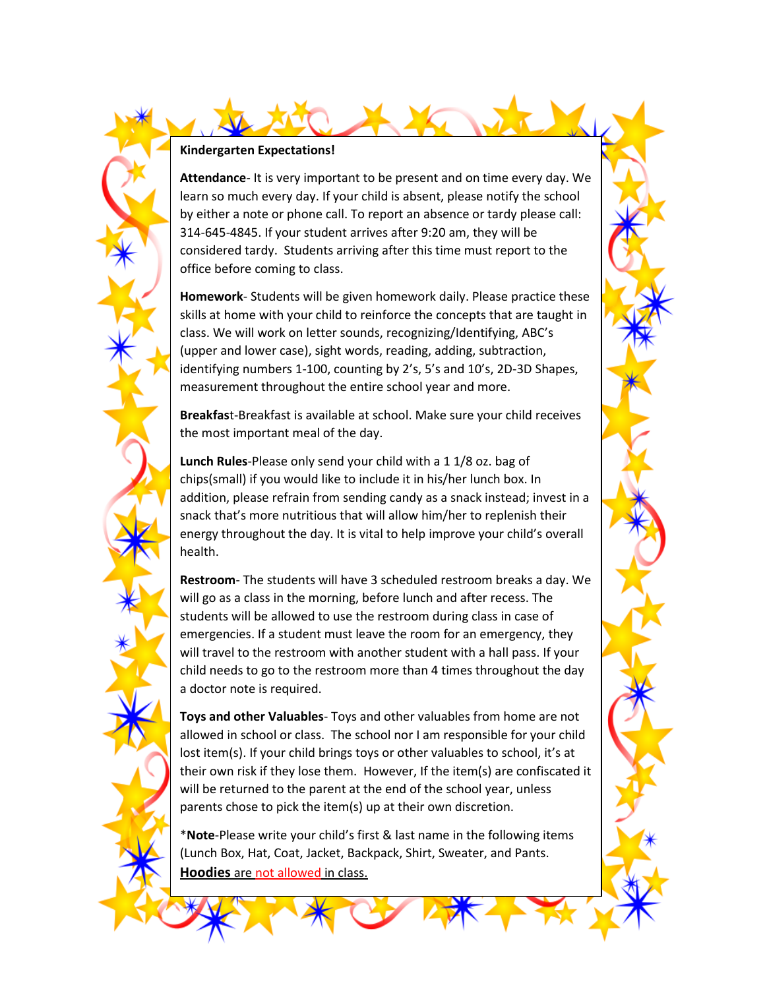**Attendance**- It is very important to be present and on time every day. We learn so much every day. If your child is absent, please notify the school by either a note or phone call. To report an absence or tardy please call: 314-645-4845. If your student arrives after 9:20 am, they will be considered tardy. Students arriving after this time must report to the office before coming to class.

**Homework**- Students will be given homework daily. Please practice these skills at home with your child to reinforce the concepts that are taught in class. We will work on letter sounds, recognizing/Identifying, ABC's (upper and lower case), sight words, reading, adding, subtraction, identifying numbers 1-100, counting by 2's, 5's and 10's, 2D-3D Shapes, measurement throughout the entire school year and more.

**Breakfas**t-Breakfast is available at school. Make sure your child receives the most important meal of the day.

**Lunch Rules**-Please only send your child with a 1 1/8 oz. bag of chips(small) if you would like to include it in his/her lunch box. In addition, please refrain from sending candy as a snack instead; invest in a snack that's more nutritious that will allow him/her to replenish their energy throughout the day. It is vital to help improve your child's overall health.

**Restroom**- The students will have 3 scheduled restroom breaks a day. We will go as a class in the morning, before lunch and after recess. The students will be allowed to use the restroom during class in case of emergencies. If a student must leave the room for an emergency, they will travel to the restroom with another student with a hall pass. If your child needs to go to the restroom more than 4 times throughout the day a doctor note is required.

**Toys and other Valuables**- Toys and other valuables from home are not allowed in school or class. The school nor I am responsible for your child lost item(s). If your child brings toys or other valuables to school, it's at their own risk if they lose them. However, If the item(s) are confiscated it will be returned to the parent at the end of the school year, unless parents chose to pick the item(s) up at their own discretion.

\***Note**-Please write your child's first & last name in the following items (Lunch Box, Hat, Coat, Jacket, Backpack, Shirt, Sweater, and Pants. **Hoodies** are not allowed in class.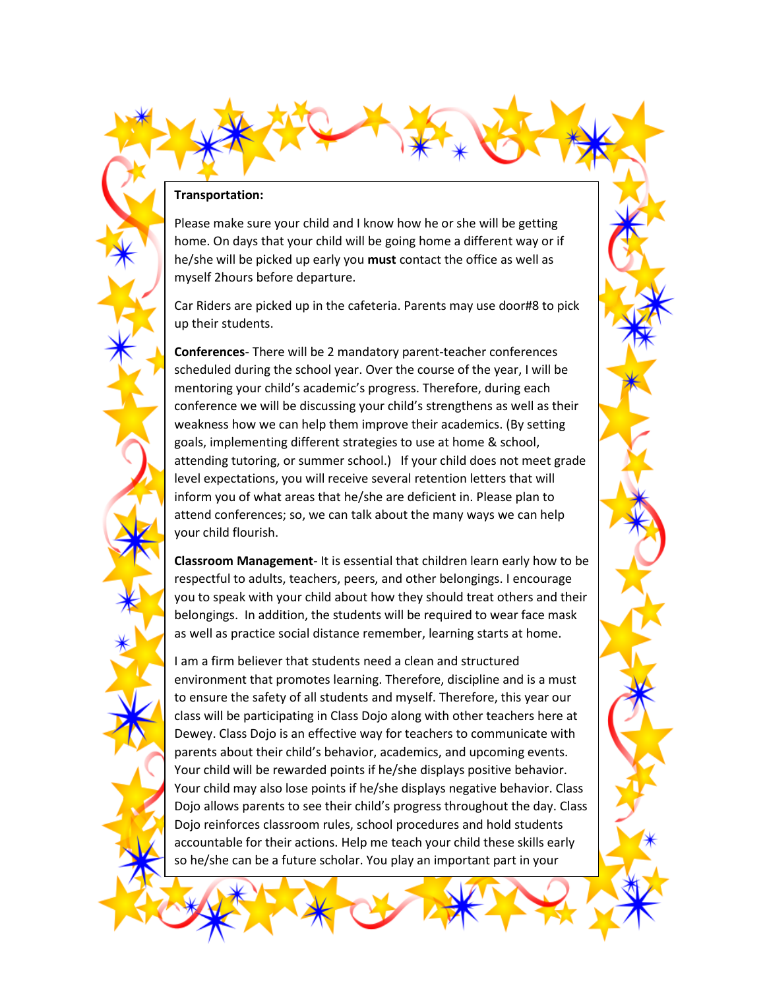## **Transportation:**

home day to

Please make sure your child and I know how he or she will be getting home. On days that your child will be going home a different way or if he/she will be picked up early you **must** contact the office as well as myself 2hours before departure.

Car Riders are picked up in the cafeteria. Parents may use door#8 to pick up their students.

**Conferences**- There will be 2 mandatory parent-teacher conferences scheduled during the school year. Over the course of the year, I will be mentoring your child's academic's progress. Therefore, during each conference we will be discussing your child's strengthens as well as their weakness how we can help them improve their academics. (By setting goals, implementing different strategies to use at home & school, attending tutoring, or summer school.) If your child does not meet grade level expectations, you will receive several retention letters that will inform you of what areas that he/she are deficient in. Please plan to attend conferences; so, we can talk about the many ways we can help your child flourish.

**Classroom Management**- It is essential that children learn early how to be respectful to adults, teachers, peers, and other belongings. I encourage you to speak with your child about how they should treat others and their belongings. In addition, the students will be required to wear face mask as well as practice social distance remember, learning starts at home.

I am a firm believer that students need a clean and structured environment that promotes learning. Therefore, discipline and is a must to ensure the safety of all students and myself. Therefore, this year our class will be participating in Class Dojo along with other teachers here at Dewey. Class Dojo is an effective way for teachers to communicate with parents about their child's behavior, academics, and upcoming events. Your child will be rewarded points if he/she displays positive behavior. Your child may also lose points if he/she displays negative behavior. Class Dojo allows parents to see their child's progress throughout the day. Class Dojo reinforces classroom rules, school procedures and hold students accountable for their actions. Help me teach your child these skills early so he/she can be a future scholar. You play an important part in your

child's education. Please help reinforce school and classroom rules at